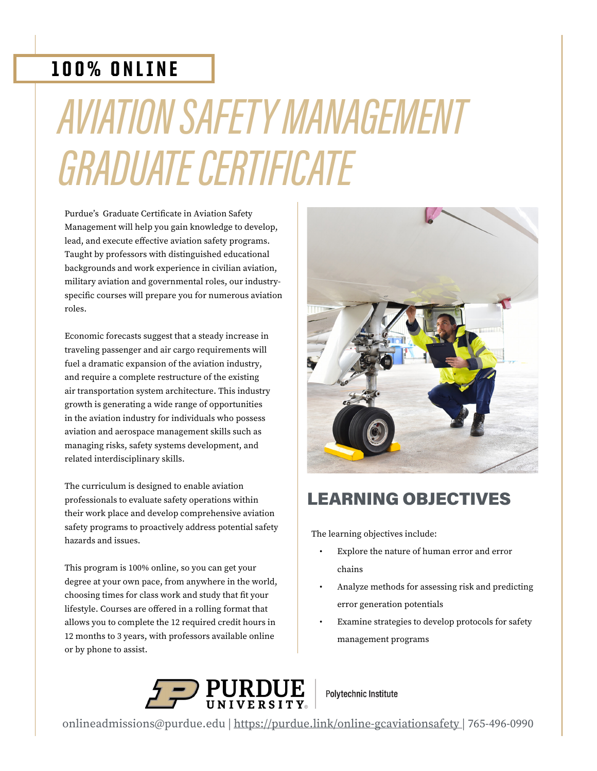### 100% ONLINE

# AVIATION SAFETY MANAGEMENT GRADUATE CERTIFICATE

Purdue's Graduate Certificate in Aviation Safety Management will help you gain knowledge to develop, lead, and execute effective aviation safety programs. Taught by professors with distinguished educational backgrounds and work experience in civilian aviation, military aviation and governmental roles, our industryspecific courses will prepare you for numerous aviation roles.

Economic forecasts suggest that a steady increase in traveling passenger and air cargo requirements will fuel a dramatic expansion of the aviation industry, and require a complete restructure of the existing air transportation system architecture. This industry growth is generating a wide range of opportunities in the aviation industry for individuals who possess aviation and aerospace management skills such as managing risks, safety systems development, and related interdisciplinary skills.

The curriculum is designed to enable aviation professionals to evaluate safety operations within their work place and develop comprehensive aviation safety programs to proactively address potential safety hazards and issues.

This program is 100% online, so you can get your degree at your own pace, from anywhere in the world, choosing times for class work and study that fit your lifestyle. Courses are offered in a rolling format that allows you to complete the 12 required credit hours in 12 months to 3 years, with professors available online or by phone to assist.



### LEARNING OBJECTIVES

The learning objectives include:

- Explore the nature of human error and error chains
- Analyze methods for assessing risk and predicting error generation potentials
- Examine strategies to develop protocols for safety management programs



**Polytechnic Institute** 

[onlineadmissions@purdue.edu](mailto:onlineadmissions%40purdue.edu%20?subject=Re%3A%20Aviation%20Safety%20Management%20Graduate%20Certificate%20%28Online%29) | <https://purdue.link/online-gcaviationsafety>| 765-496-0990